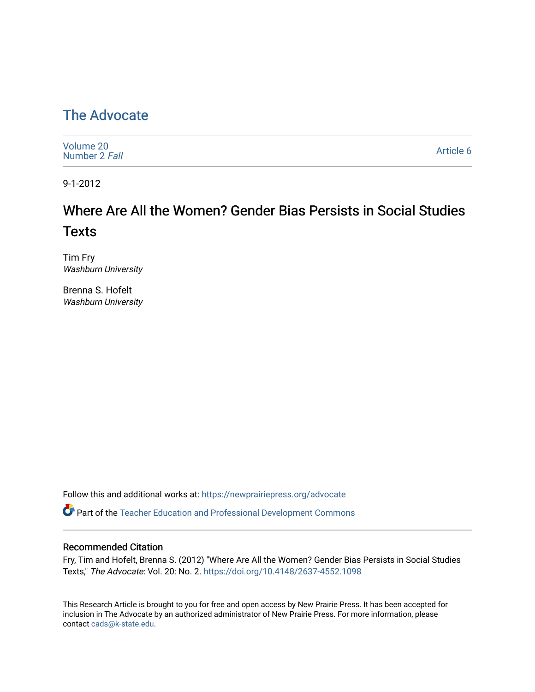# [The Advocate](https://newprairiepress.org/advocate)

| Volume 20<br>Number 2 Fall | Article 6 |
|----------------------------|-----------|
|----------------------------|-----------|

9-1-2012

# Where Are All the Women? Gender Bias Persists in Social Studies **Texts**

Tim Fry Washburn University

Brenna S. Hofelt Washburn University

Follow this and additional works at: [https://newprairiepress.org/advocate](https://newprairiepress.org/advocate?utm_source=newprairiepress.org%2Fadvocate%2Fvol20%2Fiss2%2F6&utm_medium=PDF&utm_campaign=PDFCoverPages) 

Part of the [Teacher Education and Professional Development Commons](http://network.bepress.com/hgg/discipline/803?utm_source=newprairiepress.org%2Fadvocate%2Fvol20%2Fiss2%2F6&utm_medium=PDF&utm_campaign=PDFCoverPages) 

#### Recommended Citation

Fry, Tim and Hofelt, Brenna S. (2012) "Where Are All the Women? Gender Bias Persists in Social Studies Texts," The Advocate: Vol. 20: No. 2.<https://doi.org/10.4148/2637-4552.1098>

This Research Article is brought to you for free and open access by New Prairie Press. It has been accepted for inclusion in The Advocate by an authorized administrator of New Prairie Press. For more information, please contact [cads@k-state.edu](mailto:cads@k-state.edu).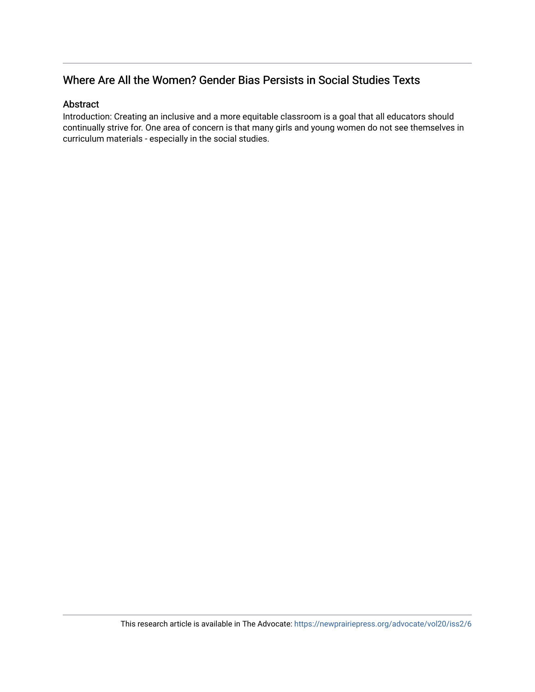# Where Are All the Women? Gender Bias Persists in Social Studies Texts

#### Abstract

Introduction: Creating an inclusive and a more equitable classroom is a goal that all educators should continually strive for. One area of concern is that many girls and young women do not see themselves in curriculum materials - especially in the social studies.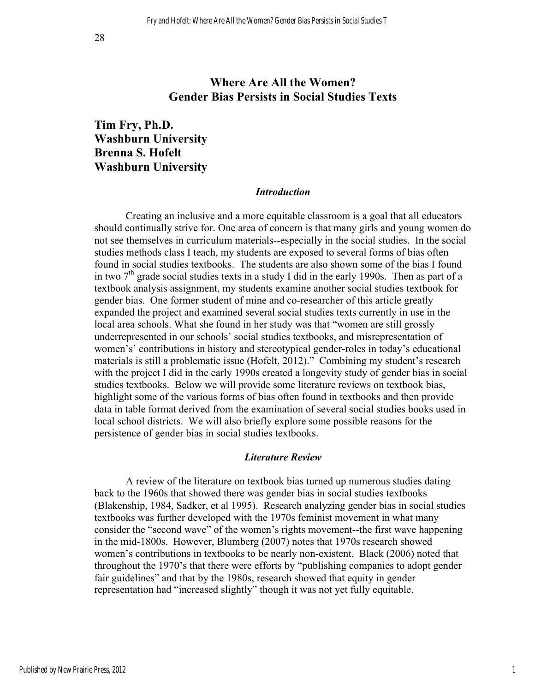### **Where Are All the Women? Gender Bias Persists in Social Studies Texts**

## **Tim Fry, Ph.D. Washburn University Brenna S. Hofelt Washburn University**

#### *Introduction*

Creating an inclusive and a more equitable classroom is a goal that all educators should continually strive for. One area of concern is that many girls and young women do not see themselves in curriculum materials--especially in the social studies. In the social studies methods class I teach, my students are exposed to several forms of bias often found in social studies textbooks. The students are also shown some of the bias I found in two  $7<sup>th</sup>$  grade social studies texts in a study I did in the early 1990s. Then as part of a textbook analysis assignment, my students examine another social studies textbook for gender bias. One former student of mine and co-researcher of this article greatly expanded the project and examined several social studies texts currently in use in the local area schools. What she found in her study was that "women are still grossly underrepresented in our schools' social studies textbooks, and misrepresentation of women's' contributions in history and stereotypical gender-roles in today's educational materials is still a problematic issue (Hofelt, 2012)." Combining my student's research with the project I did in the early 1990s created a longevity study of gender bias in social studies textbooks. Below we will provide some literature reviews on textbook bias, highlight some of the various forms of bias often found in textbooks and then provide data in table format derived from the examination of several social studies books used in local school districts. We will also briefly explore some possible reasons for the persistence of gender bias in social studies textbooks.

#### *Literature Review*

A review of the literature on textbook bias turned up numerous studies dating back to the 1960s that showed there was gender bias in social studies textbooks (Blakenship, 1984, Sadker, et al 1995). Research analyzing gender bias in social studies textbooks was further developed with the 1970s feminist movement in what many consider the "second wave" of the women's rights movement--the first wave happening in the mid-1800s. However, Blumberg (2007) notes that 1970s research showed women's contributions in textbooks to be nearly non-existent. Black (2006) noted that throughout the 1970's that there were efforts by "publishing companies to adopt gender fair guidelines" and that by the 1980s, research showed that equity in gender representation had "increased slightly" though it was not yet fully equitable.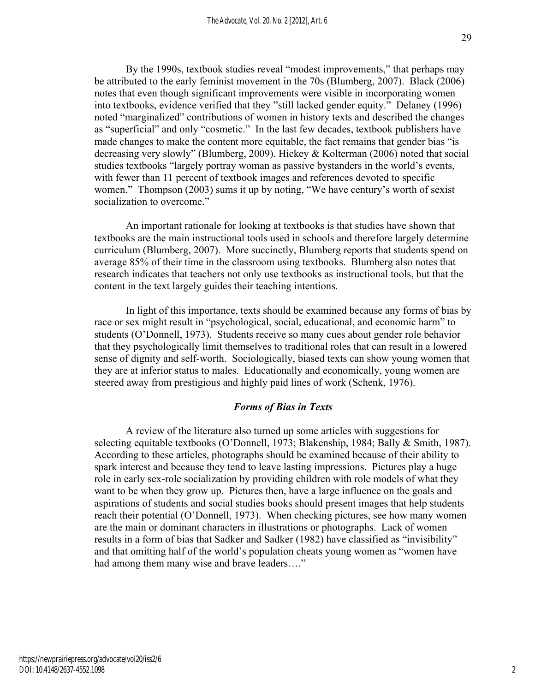By the 1990s, textbook studies reveal "modest improvements," that perhaps may be attributed to the early feminist movement in the 70s (Blumberg, 2007). Black (2006) notes that even though significant improvements were visible in incorporating women into textbooks, evidence verified that they "still lacked gender equity." Delaney (1996) noted "marginalized" contributions of women in history texts and described the changes as "superficial" and only "cosmetic." In the last few decades, textbook publishers have made changes to make the content more equitable, the fact remains that gender bias "is decreasing very slowly" (Blumberg, 2009). Hickey & Kolterman (2006) noted that social studies textbooks "largely portray woman as passive bystanders in the world's events, with fewer than 11 percent of textbook images and references devoted to specific women." Thompson (2003) sums it up by noting, "We have century's worth of sexist socialization to overcome."

An important rationale for looking at textbooks is that studies have shown that textbooks are the main instructional tools used in schools and therefore largely determine curriculum (Blumberg, 2007). More succinctly, Blumberg reports that students spend on average 85% of their time in the classroom using textbooks. Blumberg also notes that research indicates that teachers not only use textbooks as instructional tools, but that the content in the text largely guides their teaching intentions.

In light of this importance, texts should be examined because any forms of bias by race or sex might result in "psychological, social, educational, and economic harm" to students (O'Donnell, 1973). Students receive so many cues about gender role behavior that they psychologically limit themselves to traditional roles that can result in a lowered sense of dignity and self-worth. Sociologically, biased texts can show young women that they are at inferior status to males. Educationally and economically, young women are steered away from prestigious and highly paid lines of work (Schenk, 1976).

#### *Forms of Bias in Texts*

A review of the literature also turned up some articles with suggestions for selecting equitable textbooks (O'Donnell, 1973; Blakenship, 1984; Bally & Smith, 1987). According to these articles, photographs should be examined because of their ability to spark interest and because they tend to leave lasting impressions. Pictures play a huge role in early sex-role socialization by providing children with role models of what they want to be when they grow up. Pictures then, have a large influence on the goals and aspirations of students and social studies books should present images that help students reach their potential (O'Donnell, 1973). When checking pictures, see how many women are the main or dominant characters in illustrations or photographs. Lack of women results in a form of bias that Sadker and Sadker (1982) have classified as "invisibility" and that omitting half of the world's population cheats young women as "women have had among them many wise and brave leaders…."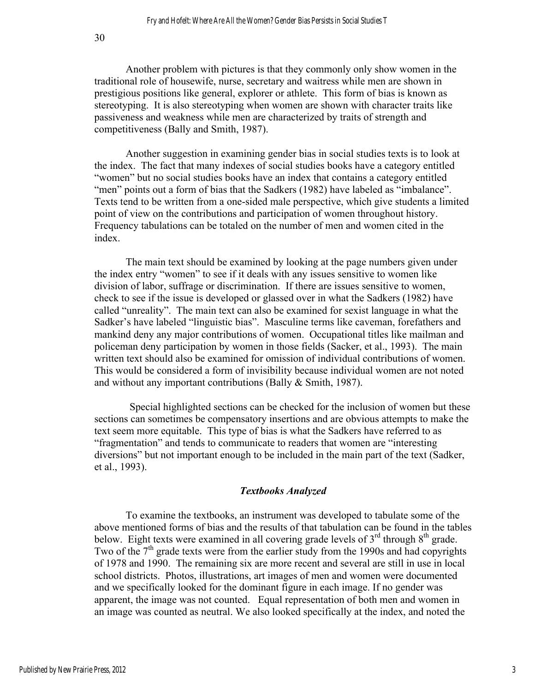Another problem with pictures is that they commonly only show women in the traditional role of housewife, nurse, secretary and waitress while men are shown in prestigious positions like general, explorer or athlete. This form of bias is known as stereotyping. It is also stereotyping when women are shown with character traits like passiveness and weakness while men are characterized by traits of strength and competitiveness (Bally and Smith, 1987).

Another suggestion in examining gender bias in social studies texts is to look at the index. The fact that many indexes of social studies books have a category entitled "women" but no social studies books have an index that contains a category entitled "men" points out a form of bias that the Sadkers (1982) have labeled as "imbalance". Texts tend to be written from a one-sided male perspective, which give students a limited point of view on the contributions and participation of women throughout history. Frequency tabulations can be totaled on the number of men and women cited in the index.

The main text should be examined by looking at the page numbers given under the index entry "women" to see if it deals with any issues sensitive to women like division of labor, suffrage or discrimination. If there are issues sensitive to women, check to see if the issue is developed or glassed over in what the Sadkers (1982) have called "unreality". The main text can also be examined for sexist language in what the Sadker's have labeled "linguistic bias". Masculine terms like caveman, forefathers and mankind deny any major contributions of women. Occupational titles like mailman and policeman deny participation by women in those fields (Sacker, et al., 1993). The main written text should also be examined for omission of individual contributions of women. This would be considered a form of invisibility because individual women are not noted and without any important contributions (Bally & Smith, 1987).

Special highlighted sections can be checked for the inclusion of women but these sections can sometimes be compensatory insertions and are obvious attempts to make the text seem more equitable. This type of bias is what the Sadkers have referred to as "fragmentation" and tends to communicate to readers that women are "interesting diversions" but not important enough to be included in the main part of the text (Sadker, et al., 1993).

#### *Textbooks Analyzed*

To examine the textbooks, an instrument was developed to tabulate some of the above mentioned forms of bias and the results of that tabulation can be found in the tables below. Eight texts were examined in all covering grade levels of  $3<sup>rd</sup>$  through  $8<sup>th</sup>$  grade. Two of the  $7<sup>th</sup>$  grade texts were from the earlier study from the 1990s and had copyrights of 1978 and 1990. The remaining six are more recent and several are still in use in local school districts. Photos, illustrations, art images of men and women were documented and we specifically looked for the dominant figure in each image. If no gender was apparent, the image was not counted. Equal representation of both men and women in an image was counted as neutral. We also looked specifically at the index, and noted the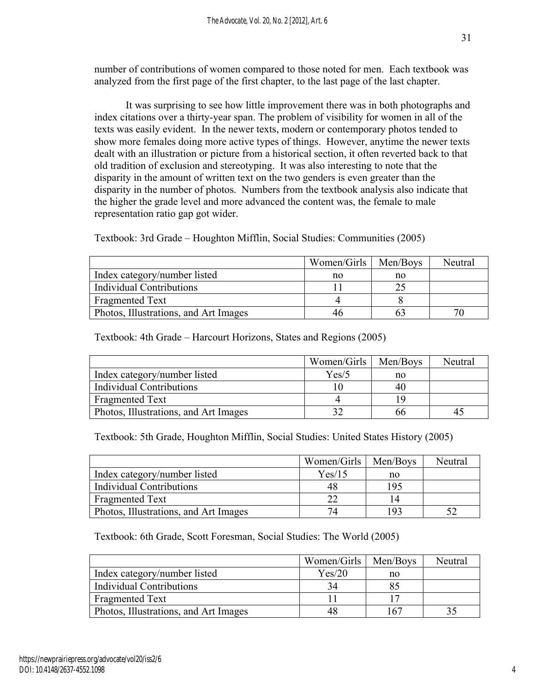number of contributions of women compared to those noted for men. Each textbook was analyzed from the first page of the first chapter, to the last page of the last chapter.

It was surprising to see how little improvement there was in both photographs and index citations over a thirty-year span. The problem of visibility for women in all of the texts was easily evident. In the newer texts, modern or contemporary photos tended to show more females doing more active types of things. However, anytime the newer texts dealt with an illustration or picture from a historical section, it often reverted back to that old tradition of exclusion and stereotyping. It was also interesting to note that the disparity in the amount of written text on the two genders is even greater than the disparity in the number of photos. Numbers from the textbook analysis also indicate that the higher the grade level and more advanced the content was, the female to male representation ratio gap got wider.

|                                       | Women/Girls | Men/Boys | Neutral |
|---------------------------------------|-------------|----------|---------|
| Index category/number listed          | no          | no       |         |
| <b>Individual Contributions</b>       |             |          |         |
| Fragmented Text                       |             |          |         |
| Photos, Illustrations, and Art Images | 46          | ხა       |         |

Textbook: 3rd Grade – Houghton Mifflin, Social Studies: Communities (2005)

Textbook: 4th Grade – Harcourt Horizons, States and Regions (2005)

|                                       | Women/Girls | Men/Boys | Neutral |
|---------------------------------------|-------------|----------|---------|
| Index category/number listed          | Yes/5       | no       |         |
| <b>Individual Contributions</b>       |             | 40       |         |
| Fragmented Text                       |             |          |         |
| Photos, Illustrations, and Art Images |             | hh       |         |

Textbook: 5th Grade, Houghton Mifflin, Social Studies: United States History (2005)

|                                       | Women/Girls   Men/Boys |     | Neutral |
|---------------------------------------|------------------------|-----|---------|
| Index category/number listed          | Yes/15                 | no  |         |
| <b>Individual Contributions</b>       | 48                     | 195 |         |
| <b>Fragmented Text</b>                | າາ                     |     |         |
| Photos, Illustrations, and Art Images | 74                     | 192 |         |

Textbook: 6th Grade, Scott Foresman, Social Studies: The World (2005)

|                                       | Women/Girls | Men/Boys | Neutral |
|---------------------------------------|-------------|----------|---------|
| Index category/number listed          | Yes/20      | no       |         |
| <b>Individual Contributions</b>       | 34          | 85       |         |
| Fragmented Text                       |             |          |         |
| Photos, Illustrations, and Art Images | 48          | 167      |         |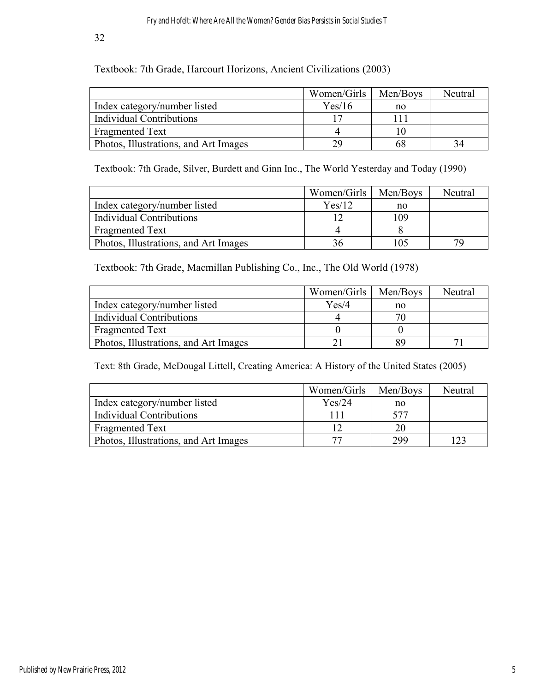32

Textbook: 7th Grade, Harcourt Horizons, Ancient Civilizations (2003)

|                                       | Women/Girls | Men/Boys | Neutral |
|---------------------------------------|-------------|----------|---------|
| Index category/number listed          | Yes/16      | no       |         |
| <b>Individual Contributions</b>       |             | 111      |         |
| <b>Fragmented Text</b>                |             |          |         |
| Photos, Illustrations, and Art Images | 29          | 68       |         |

Textbook: 7th Grade, Silver, Burdett and Ginn Inc., The World Yesterday and Today (1990)

|                                       | Women/Girls | Men/Boys | Neutral |
|---------------------------------------|-------------|----------|---------|
| Index category/number listed          | Yes/12      | no       |         |
| <b>Individual Contributions</b>       |             | 109      |         |
| <b>Fragmented Text</b>                |             |          |         |
| Photos, Illustrations, and Art Images |             | 105      | 79      |

Textbook: 7th Grade, Macmillan Publishing Co., Inc., The Old World (1978)

|                                       | Women/Girls | Men/Boys | Neutral |
|---------------------------------------|-------------|----------|---------|
| Index category/number listed          | Yes/4       | no       |         |
| <b>Individual Contributions</b>       |             |          |         |
| Fragmented Text                       |             |          |         |
| Photos, Illustrations, and Art Images |             | 8ç       |         |

Text: 8th Grade, McDougal Littell, Creating America: A History of the United States (2005)

|                                       | Women/Girls | Men/Boys | Neutral |
|---------------------------------------|-------------|----------|---------|
| Index category/number listed          | Yes/24      | no       |         |
| <b>Individual Contributions</b>       | 111         | 577      |         |
| <b>Fragmented Text</b>                |             | 20       |         |
| Photos, Illustrations, and Art Images | 77          | 299      |         |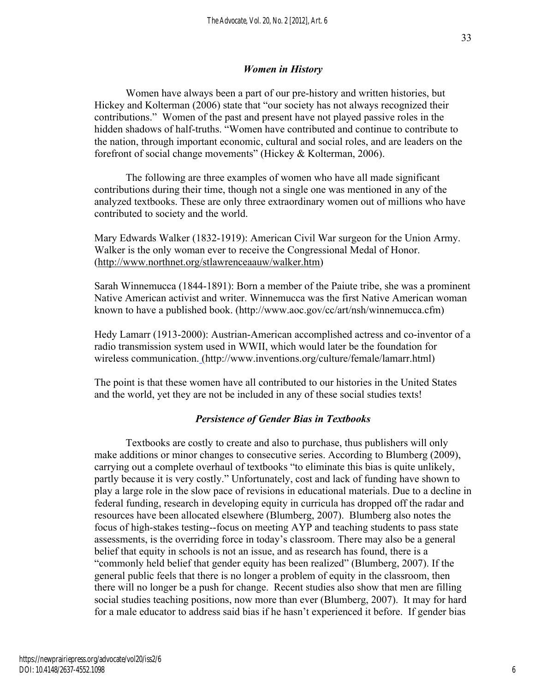### *Women in History*

Women have always been a part of our pre-history and written histories, but Hickey and Kolterman (2006) state that "our society has not always recognized their contributions." Women of the past and present have not played passive roles in the hidden shadows of half-truths. "Women have contributed and continue to contribute to the nation, through important economic, cultural and social roles, and are leaders on the forefront of social change movements" (Hickey & Kolterman, 2006).

The following are three examples of women who have all made significant contributions during their time, though not a single one was mentioned in any of the analyzed textbooks. These are only three extraordinary women out of millions who have contributed to society and the world.

Mary Edwards Walker (1832-1919): American Civil War surgeon for the Union Army. Walker is the only woman ever to receive the Congressional Medal of Honor. (http://www.northnet.org/stlawrenceaauw/walker.htm)

Sarah Winnemucca (1844-1891): Born a member of the Paiute tribe, she was a prominent Native American activist and writer. Winnemucca was the first Native American woman known to have a published book. (http://www.aoc.gov/cc/art/nsh/winnemucca.cfm)

Hedy Lamarr (1913-2000): Austrian-American accomplished actress and co-inventor of a radio transmission system used in WWII, which would later be the foundation for wireless communication. (http://www.inventions.org/culture/female/lamarr.html)

The point is that these women have all contributed to our histories in the United States and the world, yet they are not be included in any of these social studies texts!

### *Persistence of Gender Bias in Textbooks*

Textbooks are costly to create and also to purchase, thus publishers will only make additions or minor changes to consecutive series. According to Blumberg (2009), carrying out a complete overhaul of textbooks "to eliminate this bias is quite unlikely, partly because it is very costly." Unfortunately, cost and lack of funding have shown to play a large role in the slow pace of revisions in educational materials. Due to a decline in federal funding, research in developing equity in curricula has dropped off the radar and resources have been allocated elsewhere (Blumberg, 2007). Blumberg also notes the focus of high-stakes testing--focus on meeting AYP and teaching students to pass state assessments, is the overriding force in today's classroom. There may also be a general belief that equity in schools is not an issue, and as research has found, there is a "commonly held belief that gender equity has been realized" (Blumberg, 2007). If the general public feels that there is no longer a problem of equity in the classroom, then there will no longer be a push for change. Recent studies also show that men are filling social studies teaching positions, now more than ever (Blumberg, 2007). It may for hard for a male educator to address said bias if he hasn't experienced it before. If gender bias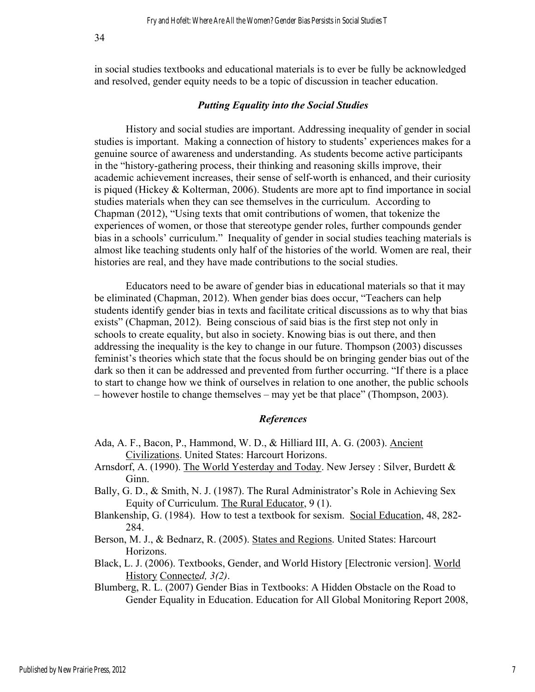in social studies textbooks and educational materials is to ever be fully be acknowledged and resolved, gender equity needs to be a topic of discussion in teacher education.

#### *Putting Equality into the Social Studies*

History and social studies are important. Addressing inequality of gender in social studies is important. Making a connection of history to students' experiences makes for a genuine source of awareness and understanding. As students become active participants in the "history-gathering process, their thinking and reasoning skills improve, their academic achievement increases, their sense of self-worth is enhanced, and their curiosity is piqued (Hickey & Kolterman, 2006). Students are more apt to find importance in social studies materials when they can see themselves in the curriculum. According to Chapman (2012), "Using texts that omit contributions of women, that tokenize the experiences of women, or those that stereotype gender roles, further compounds gender bias in a schools' curriculum." Inequality of gender in social studies teaching materials is almost like teaching students only half of the histories of the world. Women are real, their histories are real, and they have made contributions to the social studies.

Educators need to be aware of gender bias in educational materials so that it may be eliminated (Chapman, 2012). When gender bias does occur, "Teachers can help students identify gender bias in texts and facilitate critical discussions as to why that bias exists" (Chapman, 2012). Being conscious of said bias is the first step not only in schools to create equality, but also in society. Knowing bias is out there, and then addressing the inequality is the key to change in our future. Thompson (2003) discusses feminist's theories which state that the focus should be on bringing gender bias out of the dark so then it can be addressed and prevented from further occurring. "If there is a place to start to change how we think of ourselves in relation to one another, the public schools – however hostile to change themselves – may yet be that place" (Thompson, 2003).

#### *References*

- Ada, A. F., Bacon, P., Hammond, W. D., & Hilliard III, A. G. (2003). Ancient Civilizations. United States: Harcourt Horizons.
- Arnsdorf, A. (1990). The World Yesterday and Today. New Jersey : Silver, Burdett & Ginn.
- Bally, G. D., & Smith, N. J. (1987). The Rural Administrator's Role in Achieving Sex Equity of Curriculum. The Rural Educator, 9 (1).
- Blankenship, G. (1984). How to test a textbook for sexism. Social Education, 48, 282- 284.
- Berson, M. J., & Bednarz, R. (2005). States and Regions. United States: Harcourt Horizons.
- Black, L. J. (2006). Textbooks, Gender, and World History [Electronic version]. World History Connecte*d, 3(2)*.
- Blumberg, R. L. (2007) Gender Bias in Textbooks: A Hidden Obstacle on the Road to Gender Equality in Education. Education for All Global Monitoring Report 2008,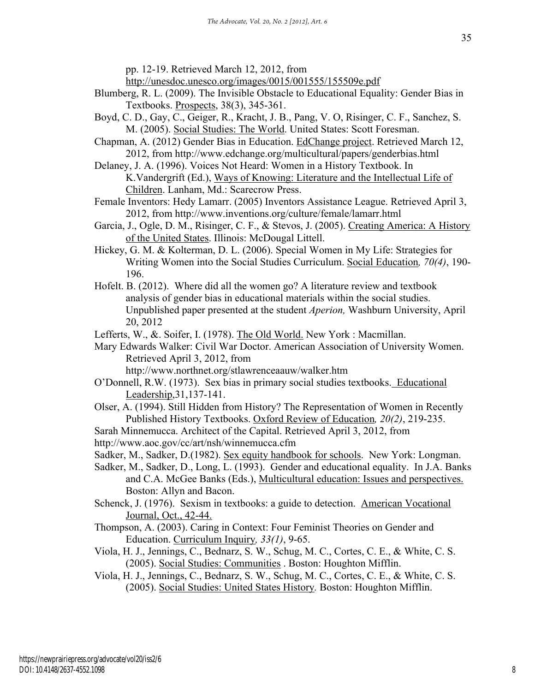http://unesdoc.unesco.org/images/0015/001555/155509e.pdf

- Blumberg, R. L. (2009). The Invisible Obstacle to Educational Equality: Gender Bias in Textbooks. Prospects, 38(3), 345-361.
- Boyd, C. D., Gay, C., Geiger, R., Kracht, J. B., Pang, V. O, Risinger, C. F., Sanchez, S. M. (2005). Social Studies: The World. United States: Scott Foresman.
- Chapman, A. (2012) Gender Bias in Education. EdChange project. Retrieved March 12, 2012, from http://www.edchange.org/multicultural/papers/genderbias.html
- Delaney, J. A. (1996). Voices Not Heard: Women in a History Textbook. In K.Vandergrift (Ed.), Ways of Knowing: Literature and the Intellectual Life of Children. Lanham, Md.: Scarecrow Press.
- Female Inventors: Hedy Lamarr. (2005) Inventors Assistance League. Retrieved April 3, 2012, from http://www.inventions.org/culture/female/lamarr.html
- Garcia, J., Ogle, D. M., Risinger, C. F., & Stevos, J. (2005). Creating America: A History of the United States. Illinois: McDougal Littell.
- Hickey, G. M. & Kolterman, D. L. (2006). Special Women in My Life: Strategies for Writing Women into the Social Studies Curriculum. Social Education*, 70(4)*, 190- 196.
- Hofelt. B. (2012). Where did all the women go? A literature review and textbook analysis of gender bias in educational materials within the social studies. Unpublished paper presented at the student *Aperion,* Washburn University, April 20, 2012

Lefferts, W., &. Soifer, I. (1978). The Old World. New York : Macmillan.

Mary Edwards Walker: Civil War Doctor. American Association of University Women. Retrieved April 3, 2012, from

http://www.northnet.org/stlawrenceaauw/walker.htm

- O'Donnell, R.W. (1973). Sex bias in primary social studies textbooks. Educational Leadership,31,137-141.
- Olser, A. (1994). Still Hidden from History? The Representation of Women in Recently Published History Textbooks. Oxford Review of Education*, 20(2)*, 219-235.

Sarah Minnemucca. Architect of the Capital. Retrieved April 3, 2012, from http://www.aoc.gov/cc/art/nsh/winnemucca.cfm

- Sadker, M., Sadker, D.(1982). Sex equity handbook for schools. New York: Longman.
- Sadker, M., Sadker, D., Long, L. (1993). Gender and educational equality. In J.A. Banks and C.A. McGee Banks (Eds.), Multicultural education: Issues and perspectives. Boston: Allyn and Bacon.
- Schenck, J. (1976). Sexism in textbooks: a guide to detection. American Vocational Journal, Oct., 42-44.
- Thompson, A. (2003). Caring in Context: Four Feminist Theories on Gender and Education. Curriculum Inquiry*, 33(1)*, 9-65.
- Viola, H. J., Jennings, C., Bednarz, S. W., Schug, M. C., Cortes, C. E., & White, C. S. (2005). Social Studies: Communities . Boston: Houghton Mifflin.
- Viola, H. J., Jennings, C., Bednarz, S. W., Schug, M. C., Cortes, C. E., & White, C. S. (2005). Social Studies: United States History*.* Boston: Houghton Mifflin.